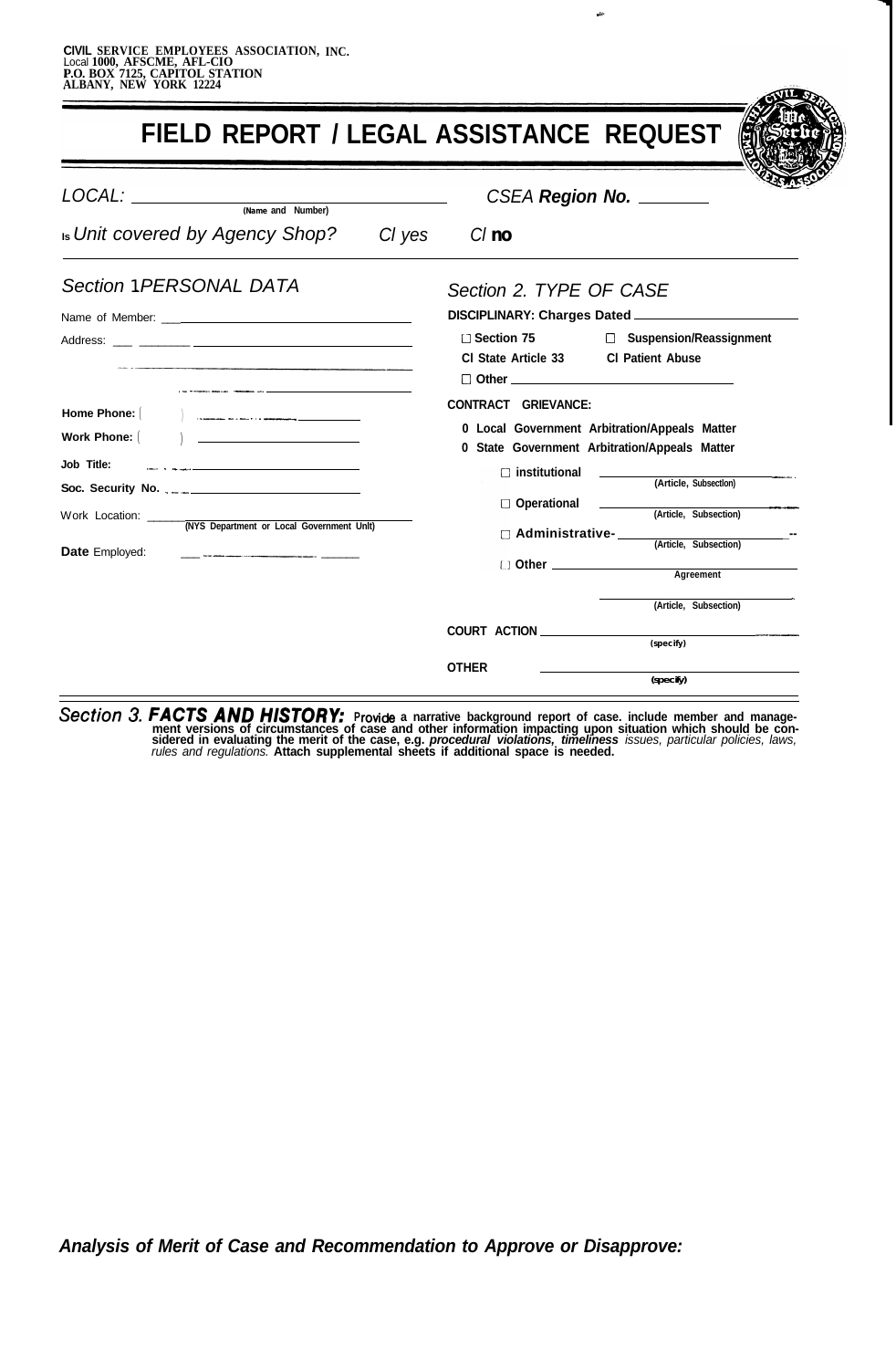|                                                                                     | FIELD REPORT / LEGAL ASSISTANCE REQUEST                                                                                                                                                    |
|-------------------------------------------------------------------------------------|--------------------------------------------------------------------------------------------------------------------------------------------------------------------------------------------|
| LOCAL: <u>warme and Number)</u><br><b>Is Unit covered by Agency Shop?</b><br>Cl yes | CSEA Region No.<br>$Cl$ no                                                                                                                                                                 |
| Section 1 PERSONAL DATA<br>Name of Member: Name of Member:                          | Section 2. TYPE OF CASE<br>DISCIPLINARY: Charges Dated _______________________<br>□ Section 75<br>□ Suspension/Reassignment<br>CI State Article 33 CI Patient Abuse<br>$\Box$ Other $\Box$ |
| Home Phone:<br>Work Phone:  <br>Job Title:                                          | CONTRACT GRIEVANCE:<br>0 Local Government Arbitration/Appeals Matter<br>0 State Government Arbitration/Appeals Matter<br>$\Box$ institutional<br>(Article, Subsection)                     |
| <b>Date Employed:</b>                                                               | □ Operational<br>(Article, Subsection)<br>Administrative- (Article, Subsection)<br>Other <u>Community Agreement</u>                                                                        |
|                                                                                     | (Article, Subsection)<br>(specify)                                                                                                                                                         |
|                                                                                     | <b>OTHER</b><br>(specify)                                                                                                                                                                  |

Section 3. FACTS AND HISTORY: Provide a narrative background report of case. include member and manage-<br>ment versions of circumstances of case and other information impacting upon situation which should be considered in evaluating the merit of the case, e.g. *procedural violations, timeliness issues, particular policies, laws,*<br>rules and regulations. Attach supplemental sheets if additional space is needed.

*Analysis of Merit of Case and Recommendation to Approve or Disapprove:*